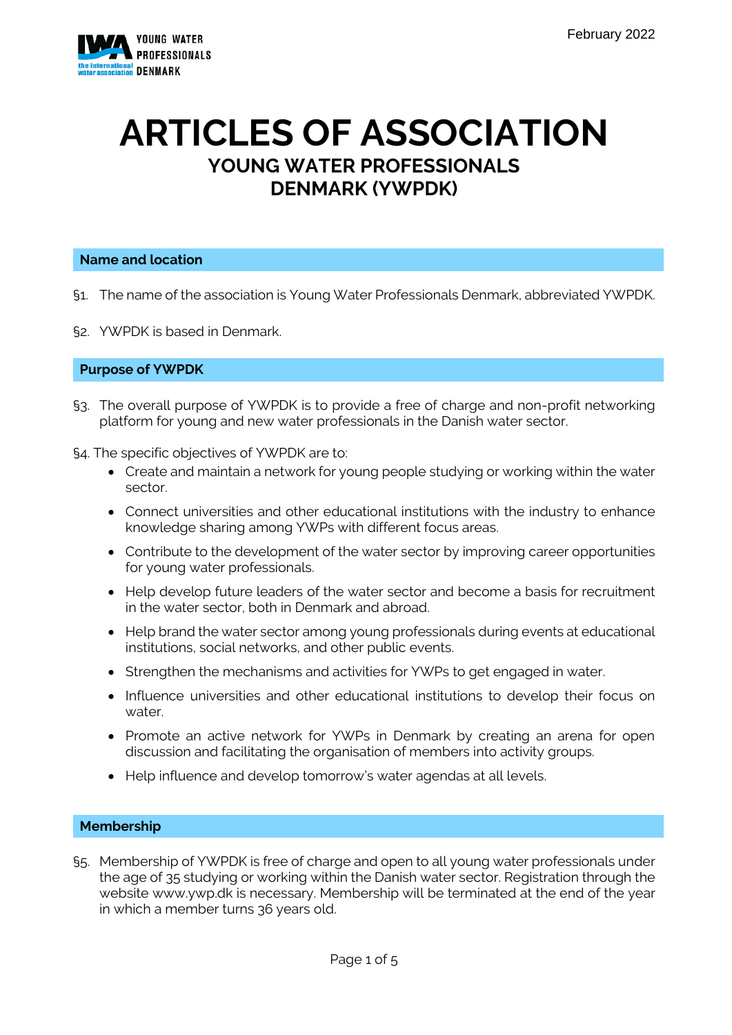

# **ARTICLES OF ASSOCIATION YOUNG WATER PROFESSIONALS DENMARK (YWPDK)**

#### **Name and location**

- §1. The name of the association is Young Water Professionals Denmark, abbreviated YWPDK.
- §2. YWPDK is based in Denmark.

#### **Purpose of YWPDK**

- §3. The overall purpose of YWPDK is to provide a free of charge and non-profit networking platform for young and new water professionals in the Danish water sector.
- §4. The specific objectives of YWPDK are to:
	- Create and maintain a network for young people studying or working within the water sector.
	- Connect universities and other educational institutions with the industry to enhance knowledge sharing among YWPs with different focus areas.
	- Contribute to the development of the water sector by improving career opportunities for young water professionals.
	- Help develop future leaders of the water sector and become a basis for recruitment in the water sector, both in Denmark and abroad.
	- Help brand the water sector among young professionals during events at educational institutions, social networks, and other public events.
	- Strengthen the mechanisms and activities for YWPs to get engaged in water.
	- Influence universities and other educational institutions to develop their focus on water.
	- Promote an active network for YWPs in Denmark by creating an arena for open discussion and facilitating the organisation of members into activity groups.
	- Help influence and develop tomorrow's water agendas at all levels.

#### **Membership**

§5. Membership of YWPDK is free of charge and open to all young water professionals under the age of 35 studying or working within the Danish water sector. Registration through the website www.ywp.dk is necessary. Membership will be terminated at the end of the year in which a member turns 36 years old.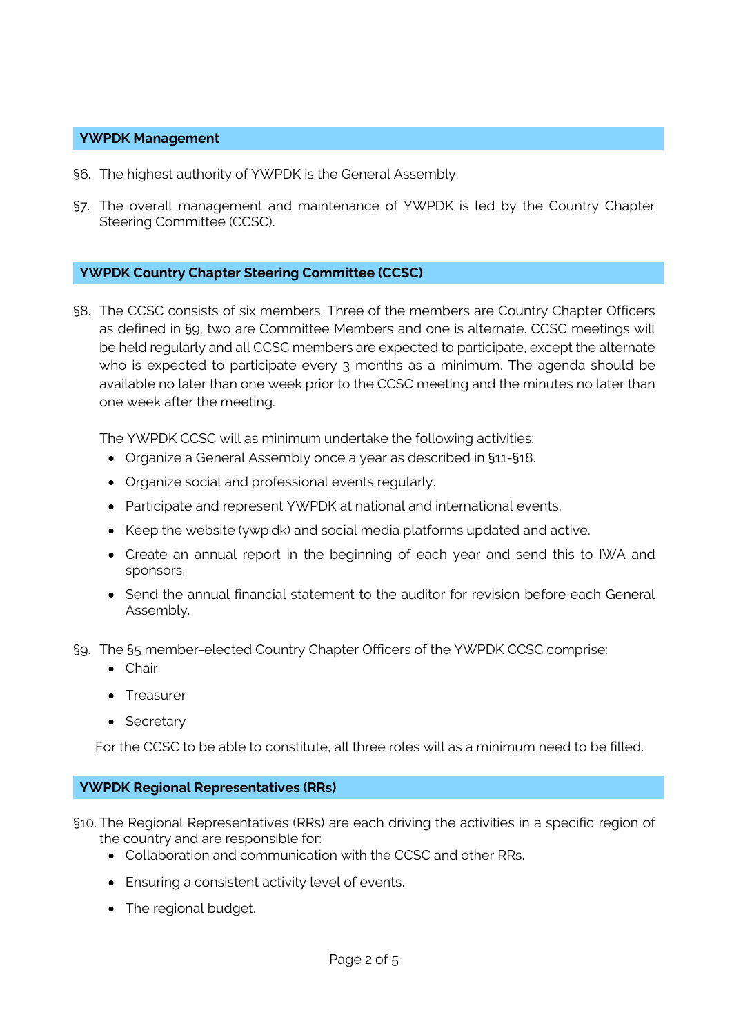#### **YWPDK Management**

- §6. The highest authority of YWPDK is the General Assembly.
- §7. The overall management and maintenance of YWPDK is led by the Country Chapter Steering Committee (CCSC).

## **YWPDK Country Chapter Steering Committee (CCSC)**

§8. The CCSC consists of six members. Three of the members are Country Chapter Officers as defined in §9, two are Committee Members and one is alternate. CCSC meetings will be held regularly and all CCSC members are expected to participate, except the alternate who is expected to participate every 3 months as a minimum. The agenda should be available no later than one week prior to the CCSC meeting and the minutes no later than one week after the meeting.

The YWPDK CCSC will as minimum undertake the following activities:

- Organize a General Assembly once a year as described in §11-§18.
- Organize social and professional events regularly.
- Participate and represent YWPDK at national and international events.
- Keep the website (ywp.dk) and social media platforms updated and active.
- Create an annual report in the beginning of each year and send this to IWA and sponsors.
- Send the annual financial statement to the auditor for revision before each General Assembly.
- §9. The §5 member-elected Country Chapter Officers of the YWPDK CCSC comprise:
	- Chair
	- Treasurer
	- Secretary

For the CCSC to be able to constitute, all three roles will as a minimum need to be filled.

#### **YWPDK Regional Representatives (RRs)**

§10. The Regional Representatives (RRs) are each driving the activities in a specific region of the country and are responsible for:

- Collaboration and communication with the CCSC and other RRs.
- Ensuring a consistent activity level of events.
- The regional budget.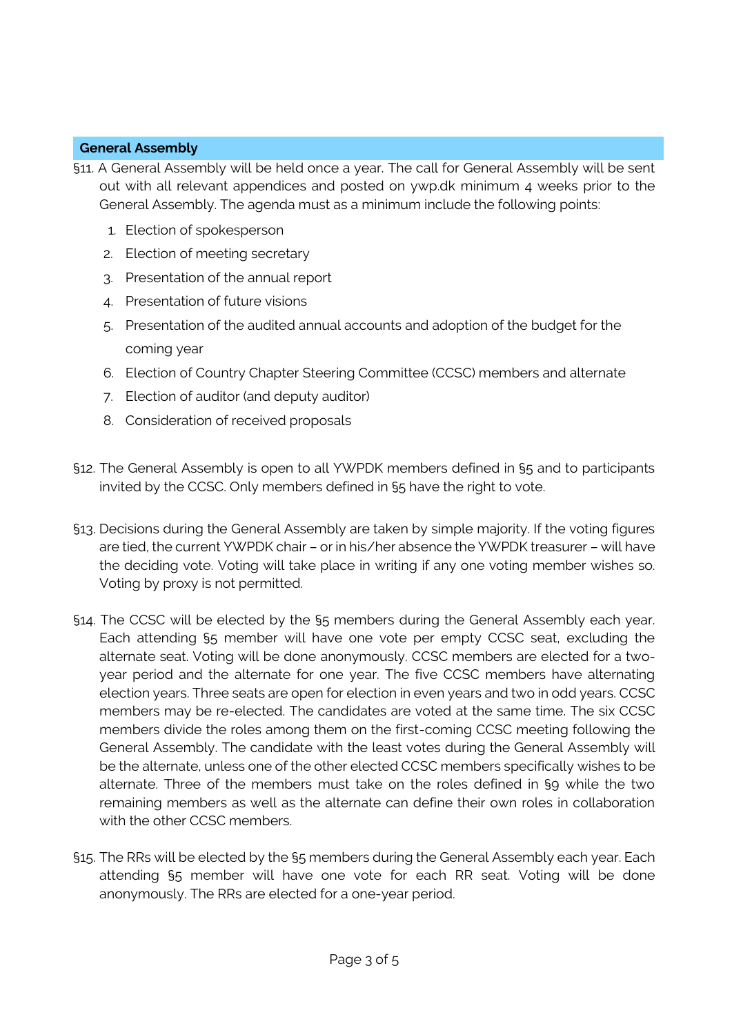# **General Assembly**

- §11. A General Assembly will be held once a year. The call for General Assembly will be sent out with all relevant appendices and posted on ywp.dk minimum 4 weeks prior to the General Assembly. The agenda must as a minimum include the following points:
	- 1. Election of spokesperson
	- 2. Election of meeting secretary
	- 3. Presentation of the annual report
	- 4. Presentation of future visions
	- 5. Presentation of the audited annual accounts and adoption of the budget for the coming year
	- 6. Election of Country Chapter Steering Committee (CCSC) members and alternate
	- 7. Election of auditor (and deputy auditor)
	- 8. Consideration of received proposals
- §12. The General Assembly is open to all YWPDK members defined in §5 and to participants invited by the CCSC. Only members defined in §5 have the right to vote.
- §13. Decisions during the General Assembly are taken by simple majority. If the voting figures are tied, the current YWPDK chair – or in his/her absence the YWPDK treasurer – will have the deciding vote. Voting will take place in writing if any one voting member wishes so. Voting by proxy is not permitted.
- §14. The CCSC will be elected by the §5 members during the General Assembly each year. Each attending §5 member will have one vote per empty CCSC seat, excluding the alternate seat. Voting will be done anonymously. CCSC members are elected for a twoyear period and the alternate for one year. The five CCSC members have alternating election years. Three seats are open for election in even years and two in odd years. CCSC members may be re-elected. The candidates are voted at the same time. The six CCSC members divide the roles among them on the first-coming CCSC meeting following the General Assembly. The candidate with the least votes during the General Assembly will be the alternate, unless one of the other elected CCSC members specifically wishes to be alternate. Three of the members must take on the roles defined in §9 while the two remaining members as well as the alternate can define their own roles in collaboration with the other CCSC members.
- §15. The RRs will be elected by the §5 members during the General Assembly each year. Each attending §5 member will have one vote for each RR seat. Voting will be done anonymously. The RRs are elected for a one-year period.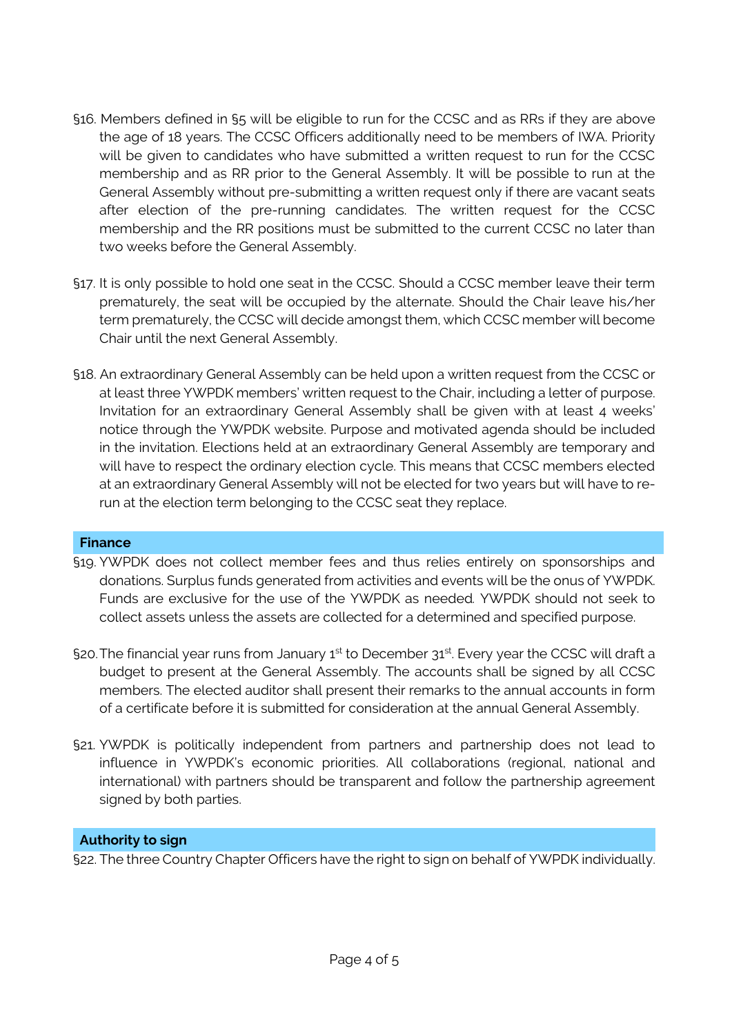- §16. Members defined in §5 will be eligible to run for the CCSC and as RRs if they are above the age of 18 years. The CCSC Officers additionally need to be members of IWA. Priority will be given to candidates who have submitted a written request to run for the CCSC membership and as RR prior to the General Assembly. It will be possible to run at the General Assembly without pre-submitting a written request only if there are vacant seats after election of the pre-running candidates. The written request for the CCSC membership and the RR positions must be submitted to the current CCSC no later than two weeks before the General Assembly.
- §17. It is only possible to hold one seat in the CCSC. Should a CCSC member leave their term prematurely, the seat will be occupied by the alternate. Should the Chair leave his/her term prematurely, the CCSC will decide amongst them, which CCSC member will become Chair until the next General Assembly.
- §18. An extraordinary General Assembly can be held upon a written request from the CCSC or at least three YWPDK members' written request to the Chair, including a letter of purpose. Invitation for an extraordinary General Assembly shall be given with at least 4 weeks' notice through the YWPDK website. Purpose and motivated agenda should be included in the invitation. Elections held at an extraordinary General Assembly are temporary and will have to respect the ordinary election cycle. This means that CCSC members elected at an extraordinary General Assembly will not be elected for two years but will have to rerun at the election term belonging to the CCSC seat they replace.

# **Finance**

- §19. YWPDK does not collect member fees and thus relies entirely on sponsorships and donations. Surplus funds generated from activities and events will be the onus of YWPDK. Funds are exclusive for the use of the YWPDK as needed*.* YWPDK should not seek to collect assets unless the assets are collected for a determined and specified purpose.
- §20. The financial year runs from January  $1^{\text{st}}$  to December  $31^{\text{st}}$ . Every year the CCSC will draft a budget to present at the General Assembly. The accounts shall be signed by all CCSC members. The elected auditor shall present their remarks to the annual accounts in form of a certificate before it is submitted for consideration at the annual General Assembly.
- §21. YWPDK is politically independent from partners and partnership does not lead to influence in YWPDK's economic priorities. All collaborations (regional, national and international) with partners should be transparent and follow the partnership agreement signed by both parties.

# **Authority to sign**

§22. The three Country Chapter Officers have the right to sign on behalf of YWPDK individually.